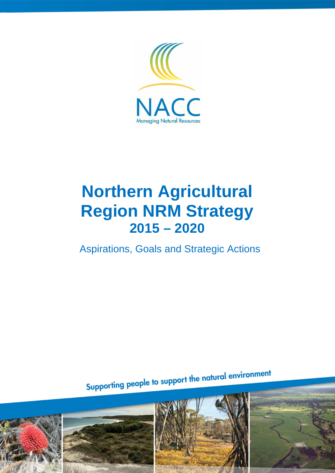

# **Northern Agricultural Region NRM Strategy 2015 – 2020**

Aspirations, Goals and Strategic Actions

Supporting people to support the natural environment

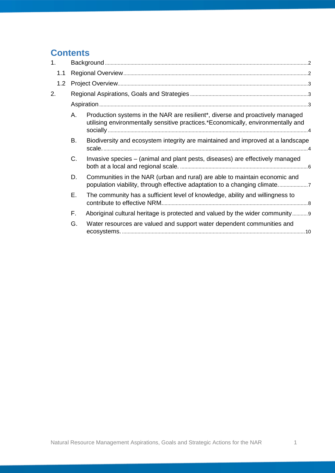## **Contents**

| 1 <sub>1</sub> |           |                                                                                                                                                                   |  |
|----------------|-----------|-------------------------------------------------------------------------------------------------------------------------------------------------------------------|--|
| 1.1            |           |                                                                                                                                                                   |  |
| 1.2            |           |                                                                                                                                                                   |  |
| 2.             |           |                                                                                                                                                                   |  |
|                |           |                                                                                                                                                                   |  |
|                | A.        | Production systems in the NAR are resilient*, diverse and proactively managed<br>utilising environmentally sensitive practices.*Economically, environmentally and |  |
|                | <b>B.</b> | Biodiversity and ecosystem integrity are maintained and improved at a landscape                                                                                   |  |
|                | C.        | Invasive species - (animal and plant pests, diseases) are effectively managed                                                                                     |  |
|                | D.        | Communities in the NAR (urban and rural) are able to maintain economic and<br>population viability, through effective adaptation to a changing climate            |  |
|                | Е.        | The community has a sufficient level of knowledge, ability and willingness to                                                                                     |  |
|                | F.        | Aboriginal cultural heritage is protected and valued by the wider community                                                                                       |  |
|                | G.        | Water resources are valued and support water dependent communities and                                                                                            |  |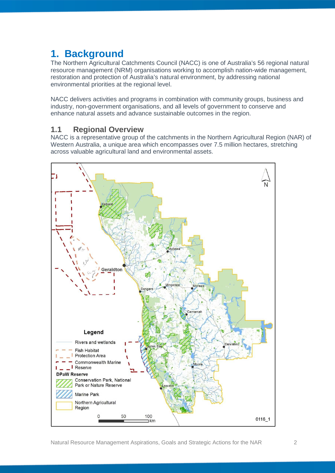# **1. Background**

The Northern Agricultural Catchments Council (NACC) is one of Australia's 56 regional natural resource management (NRM) organisations working to accomplish nation-wide management, restoration and protection of Australia's natural environment, by addressing national environmental priorities at the regional level.

NACC delivers activities and programs in combination with community groups, business and industry, non-government organisations, and all levels of government to conserve and enhance natural assets and advance sustainable outcomes in the region.

## **1.1 Regional Overview**

NACC is a representative group of the catchments in the Northern Agricultural Region (NAR) of Western Australia, a unique area which encompasses over 7.5 million hectares, stretching across valuable agricultural land and environmental assets.

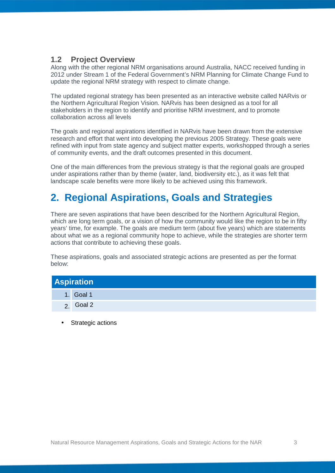## **1.2 Project Overview**

Along with the other regional NRM organisations around Australia, NACC received funding in 2012 under Stream 1 of the Federal Government's NRM Planning for Climate Change Fund to update the regional NRM strategy with respect to climate change.

The updated regional strategy has been presented as an interactive website called NARvis or the Northern Agricultural Region Vision. NARvis has been designed as a tool for all stakeholders in the region to identify and prioritise NRM investment, and to promote collaboration across all levels

The goals and regional aspirations identified in NARvis have been drawn from the extensive research and effort that went into developing the previous 2005 Strategy. These goals were refined with input from state agency and subject matter experts, workshopped through a series of community events, and the draft outcomes presented in this document.

One of the main differences from the previous strategy is that the regional goals are grouped under aspirations rather than by theme (water, land, biodiversity etc.), as it was felt that landscape scale benefits were more likely to be achieved using this framework.

# **2. Regional Aspirations, Goals and Strategies**

There are seven aspirations that have been described for the Northern Agricultural Region, which are long term goals, or a vision of how the community would like the region to be in fifty years' time, for example. The goals are medium term (about five years) which are statements about what we as a regional community hope to achieve, while the strategies are shorter term actions that contribute to achieving these goals.

These aspirations, goals and associated strategic actions are presented as per the format below:

| <b>Aspiration</b> |           |  |  |
|-------------------|-----------|--|--|
|                   | 1. Goal 1 |  |  |
|                   | Goal 2    |  |  |

Strategic actions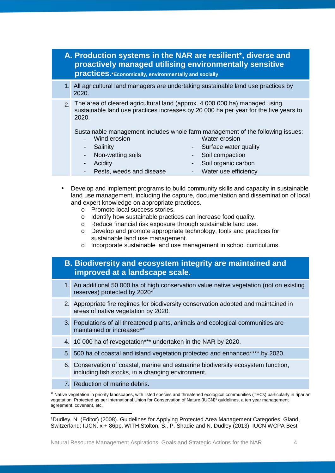## **A. Production systems in the NAR are resilient\*, diverse and proactively managed utilising environmentally sensitive practices.\*Economically, environmentally and socially** 1. All agricultural land managers are undertaking sustainable land use practices by 2020. 2. The area of cleared agricultural land (approx. 4 000 000 ha) managed using sustainable land use practices increases by 20 000 ha per year for the five years to 2020.

Sustainable management includes whole farm management of the following issues:

Wind erosion

Water erosion

**Salinity** 

- 
- 
- Surface water quality
- Non-wetting soils
- Soil compaction

**Acidity** 

- Soil organic carbon
- Pests, weeds and disease - Water use efficiency
- Develop and implement programs to build community skills and capacity in sustainable land use management, including the capture, documentation and dissemination of local and expert knowledge on appropriate practices.
	- o Promote local success stories.
	- o Identify how sustainable practices can increase food quality.
	- o Reduce financial risk exposure through sustainable land use.
	- o Develop and promote appropriate technology, tools and practices for sustainable land use management.
	- o Incorporate sustainable land use management in school curriculums.

## **B. Biodiversity and ecosystem integrity are maintained and improved at a landscape scale.**

- 1. An additional 50 000 ha of high conservation value native vegetation (not on existing reserves) protected by 2020\*
- 2. Appropriate fire regimes for biodiversity conservation adopted and maintained in areas of native vegetation by 2020.
- 3. Populations of all threatened plants, animals and ecological communities are maintained or increased\*\*
- 4. 10 000 ha of revegetation\*\*\* undertaken in the NAR by 2020.
- 5. 500 ha of coastal and island vegetation protected and enhanced\*\*\*\* by 2020.
- 6. Conservation of coastal, marine and estuarine biodiversity ecosystem function, including fish stocks, in a changing environment.
- 7. Reduction of marine debris.

 <sup>1</sup>Dudley, N. (Editor) (2008). Guidelines for Applying Protected Area Management Categories. Gland, Switzerland: IUCN. x + 86pp. WITH Stolton, S., P. Shadie and N. Dudley (2013). IUCN WCPA Best

<sup>\*</sup> Native vegetation in priority landscapes, with listed species and threatened ecological communities (TECs) particularly in riparian vegetation. Protected as per International Union for Conservation of Nature (IUCN)<sup>1</sup> guidelines, a ten year management agreement, covenant, etc.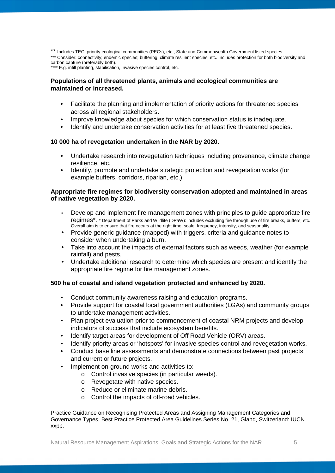\*\* Includes TEC, priority ecological communities (PECs), etc., State and Commonwealth Government listed species. \*\*\* Consider: connectivity; endemic species; buffering; climate resilient species, etc. Includes protection for both biodiversity and carbon capture (preferably both).

\*\*\*\* E.g. infill planting, stabilisation, invasive species control, etc.

## **Populations of all threatened plants, animals and ecological communities are maintained or increased.**

- Facilitate the planning and implementation of priority actions for threatened species across all regional stakeholders.
- Improve knowledge about species for which conservation status is inadequate.
- Identify and undertake conservation activities for at least five threatened species.

#### **10 000 ha of revegetation undertaken in the NAR by 2020.**

- Undertake research into revegetation techniques including provenance, climate change resilience, etc.
- Identify, promote and undertake strategic protection and revegetation works (for example buffers, corridors, riparian, etc.).

#### **Appropriate fire regimes for biodiversity conservation adopted and maintained in areas of native vegetation by 2020.**

- Develop and implement fire management zones with principles to guide appropriate fire regimes\*. \* Department of Parks and Wildlife (DPaW): includes excluding fire through use of fire breaks, buffers, etc. Overall aim is to ensure that fire occurs at the right time, scale, frequency, intensity, and seasonality.
- Provide generic guidance (mapped) with triggers, criteria and guidance notes to consider when undertaking a burn.
- Take into account the impacts of external factors such as weeds, weather (for example rainfall) and pests.
- Undertake additional research to determine which species are present and identify the appropriate fire regime for fire management zones.

## **500 ha of coastal and island vegetation protected and enhanced by 2020.**

- Conduct community awareness raising and education programs.
- Provide support for coastal local government authorities (LGAs) and community groups to undertake management activities.
- Plan project evaluation prior to commencement of coastal NRM projects and develop indicators of success that include ecosystem benefits.
- Identify target areas for development of Off Road Vehicle (ORV) areas.
- Identify priority areas or 'hotspots' for invasive species control and revegetation works.
- Conduct base line assessments and demonstrate connections between past projects and current or future projects.
- Implement on-ground works and activities to:

- o Control invasive species (in particular weeds).
- o Revegetate with native species.
- o Reduce or eliminate marine debris.
- o Control the impacts of off-road vehicles.

Practice Guidance on Recognising Protected Areas and Assigning Management Categories and Governance Types, Best Practice Protected Area Guidelines Series No. 21, Gland, Switzerland: IUCN. xxpp.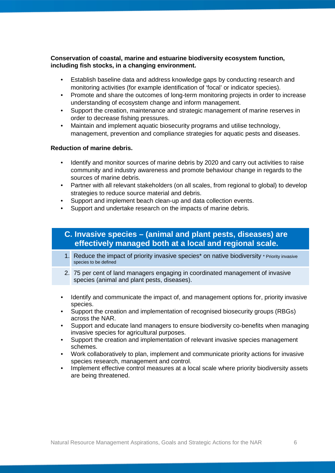## **Conservation of coastal, marine and estuarine biodiversity ecosystem function, including fish stocks, in a changing environment.**

- Establish baseline data and address knowledge gaps by conducting research and monitoring activities (for example identification of 'focal' or indicator species).
- Promote and share the outcomes of long-term monitoring projects in order to increase understanding of ecosystem change and inform management.
- Support the creation, maintenance and strategic management of marine reserves in order to decrease fishing pressures.
- Maintain and implement aquatic biosecurity programs and utilise technology, management, prevention and compliance strategies for aquatic pests and diseases.

## **Reduction of marine debris.**

- Identify and monitor sources of marine debris by 2020 and carry out activities to raise community and industry awareness and promote behaviour change in regards to the sources of marine debris.
- Partner with all relevant stakeholders (on all scales, from regional to global) to develop strategies to reduce source material and debris.
- Support and implement beach clean-up and data collection events.
- Support and undertake research on the impacts of marine debris.

## **C. Invasive species – (animal and plant pests, diseases) are effectively managed both at a local and regional scale.**

- 1. Reduce the impact of priority invasive species\* on native biodiversity \* Priority invasive species to be defined
- 2. 75 per cent of land managers engaging in coordinated management of invasive species (animal and plant pests, diseases).
- Identify and communicate the impact of, and management options for, priority invasive species.
- Support the creation and implementation of recognised biosecurity groups (RBGs) across the NAR.
- Support and educate land managers to ensure biodiversity co-benefits when managing invasive species for agricultural purposes.
- Support the creation and implementation of relevant invasive species management schemes.
- Work collaboratively to plan, implement and communicate priority actions for invasive species research, management and control.
- Implement effective control measures at a local scale where priority biodiversity assets are being threatened.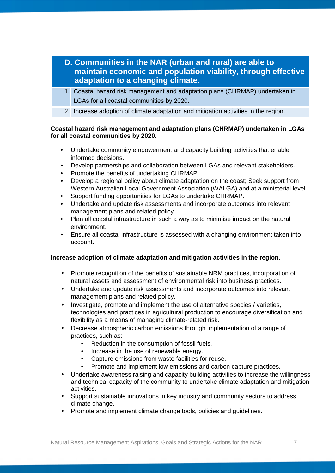- **D. Communities in the NAR (urban and rural) are able to maintain economic and population viability, through effective adaptation to a changing climate.**
- 1. Coastal hazard risk management and adaptation plans (CHRMAP) undertaken in LGAs for all coastal communities by 2020.
- 2. Increase adoption of climate adaptation and mitigation activities in the region.

## **Coastal hazard risk management and adaptation plans (CHRMAP) undertaken in LGAs for all coastal communities by 2020.**

- Undertake community empowerment and capacity building activities that enable informed decisions.
- Develop partnerships and collaboration between LGAs and relevant stakeholders.
- Promote the benefits of undertaking CHRMAP.
- Develop a regional policy about climate adaptation on the coast; Seek support from Western Australian Local Government Association (WALGA) and at a ministerial level.
- Support funding opportunities for LGAs to undertake CHRMAP.
- Undertake and update risk assessments and incorporate outcomes into relevant management plans and related policy.
- Plan all coastal infrastructure in such a way as to minimise impact on the natural environment.
- Ensure all coastal infrastructure is assessed with a changing environment taken into account.

## **Increase adoption of climate adaptation and mitigation activities in the region.**

- Promote recognition of the benefits of sustainable NRM practices, incorporation of natural assets and assessment of environmental risk into business practices.
- Undertake and update risk assessments and incorporate outcomes into relevant management plans and related policy.
- Investigate, promote and implement the use of alternative species / varieties, technologies and practices in agricultural production to encourage diversification and flexibility as a means of managing climate-related risk.
- Decrease atmospheric carbon emissions through implementation of a range of practices, such as:
	- Reduction in the consumption of fossil fuels.
	- Increase in the use of renewable energy.
	- Capture emissions from waste facilities for reuse.
	- Promote and implement low emissions and carbon capture practices.
- Undertake awareness raising and capacity building activities to increase the willingness and technical capacity of the community to undertake climate adaptation and mitigation activities.
- Support sustainable innovations in key industry and community sectors to address climate change.
- Promote and implement climate change tools, policies and guidelines.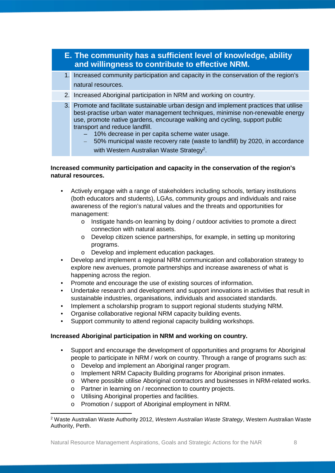| E. The community has a sufficient level of knowledge, ability<br>and willingness to contribute to effective NRM. |                                                                                                                                                                                                                                                                                                                                                                                                                                                                                      |  |
|------------------------------------------------------------------------------------------------------------------|--------------------------------------------------------------------------------------------------------------------------------------------------------------------------------------------------------------------------------------------------------------------------------------------------------------------------------------------------------------------------------------------------------------------------------------------------------------------------------------|--|
|                                                                                                                  | 1. Increased community participation and capacity in the conservation of the region's<br>natural resources.                                                                                                                                                                                                                                                                                                                                                                          |  |
|                                                                                                                  | 2. Increased Aboriginal participation in NRM and working on country.                                                                                                                                                                                                                                                                                                                                                                                                                 |  |
|                                                                                                                  | 3. Promote and facilitate sustainable urban design and implement practices that utilise<br>best-practise urban water management techniques, minimise non-renewable energy<br>use, promote native gardens, encourage walking and cycling, support public<br>transport and reduce landfill.<br>10% decrease in per capita scheme water usage.<br>50% municipal waste recovery rate (waste to landfill) by 2020, in accordance<br>with Western Australian Waste Strategy <sup>2</sup> . |  |

## **Increased community participation and capacity in the conservation of the region's natural resources.**

- Actively engage with a range of stakeholders including schools, tertiary institutions (both educators and students), LGAs, community groups and individuals and raise awareness of the region's natural values and the threats and opportunities for management:
	- o Instigate hands-on learning by doing / outdoor activities to promote a direct connection with natural assets.
	- o Develop citizen science partnerships, for example, in setting up monitoring programs.
	- o Develop and implement education packages.
- Develop and implement a regional NRM communication and collaboration strategy to explore new avenues, promote partnerships and increase awareness of what is happening across the region.
- Promote and encourage the use of existing sources of information.
- Undertake research and development and support innovations in activities that result in sustainable industries, organisations, individuals and associated standards.
- Implement a scholarship program to support regional students studying NRM.
- Organise collaborative regional NRM capacity building events.
- Support community to attend regional capacity building workshops.

## **Increased Aboriginal participation in NRM and working on country.**

- Support and encourage the development of opportunities and programs for Aboriginal people to participate in NRM / work on country. Through a range of programs such as:
	- o Develop and implement an Aboriginal ranger program.
	- o Implement NRM Capacity Building programs for Aboriginal prison inmates.
	- o Where possible utilise Aboriginal contractors and businesses in NRM-related works.
	- o Partner in learning on / reconnection to country projects.
	- o Utilising Aboriginal properties and facilities.
	- o Promotion / support of Aboriginal employment in NRM.

 <sup>2</sup> Waste Australian Waste Authority 2012, *Western Australian Waste Strategy*, Western Australian Waste Authority, Perth.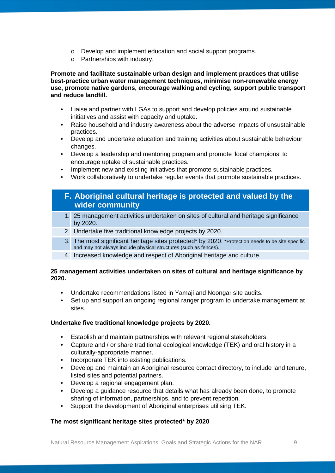- o Develop and implement education and social support programs.
- o Partnerships with industry.

**Promote and facilitate sustainable urban design and implement practices that utilise best-practice urban water management techniques, minimise non-renewable energy use, promote native gardens, encourage walking and cycling, support public transport and reduce landfill.**

- Liaise and partner with LGAs to support and develop policies around sustainable initiatives and assist with capacity and uptake.
- Raise household and industry awareness about the adverse impacts of unsustainable practices.
- Develop and undertake education and training activities about sustainable behaviour changes.
- Develop a leadership and mentoring program and promote 'local champions' to encourage uptake of sustainable practices.
- Implement new and existing initiatives that promote sustainable practices.
- Work collaboratively to undertake regular events that promote sustainable practices.

## **F. Aboriginal cultural heritage is protected and valued by the wider community**

- 1. 25 management activities undertaken on sites of cultural and heritage significance by 2020.
- 2. Undertake five traditional knowledge projects by 2020.
- 3. The most significant heritage sites protected\* by 2020. \*Protection needs to be site specific and may not always include physical structures (such as fences).
- 4. Increased knowledge and respect of Aboriginal heritage and culture.

## **25 management activities undertaken on sites of cultural and heritage significance by 2020.**

- Undertake recommendations listed in Yamaji and Noongar site audits.
- Set up and support an ongoing regional ranger program to undertake management at sites.

## **Undertake five traditional knowledge projects by 2020.**

- Establish and maintain partnerships with relevant regional stakeholders.
- Capture and / or share traditional ecological knowledge (TEK) and oral history in a culturally-appropriate manner.
- Incorporate TEK into existing publications.
- Develop and maintain an Aboriginal resource contact directory, to include land tenure, listed sites and potential partners.
- Develop a regional engagement plan.
- Develop a guidance resource that details what has already been done, to promote sharing of information, partnerships, and to prevent repetition.
- Support the development of Aboriginal enterprises utilising TEK.

## **The most significant heritage sites protected\* by 2020**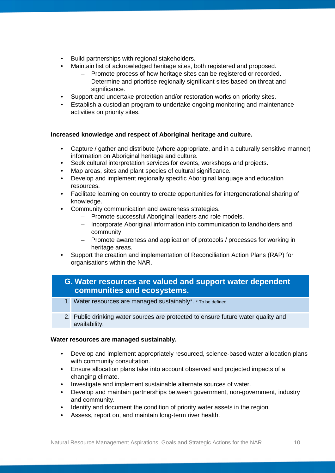- Build partnerships with regional stakeholders.
	- Maintain list of acknowledged heritage sites, both registered and proposed.
		- Promote process of how heritage sites can be registered or recorded.
			- Determine and prioritise regionally significant sites based on threat and significance.
- Support and undertake protection and/or restoration works on priority sites.
- Establish a custodian program to undertake ongoing monitoring and maintenance activities on priority sites.

## **Increased knowledge and respect of Aboriginal heritage and culture.**

- Capture / gather and distribute (where appropriate, and in a culturally sensitive manner) information on Aboriginal heritage and culture.
- Seek cultural interpretation services for events, workshops and projects.
- Map areas, sites and plant species of cultural significance.
- Develop and implement regionally specific Aboriginal language and education resources.
- Facilitate learning on country to create opportunities for intergenerational sharing of knowledge.
- Community communication and awareness strategies.
	- Promote successful Aboriginal leaders and role models.
	- Incorporate Aboriginal information into communication to landholders and community.
	- Promote awareness and application of protocols / processes for working in heritage areas.
- Support the creation and implementation of Reconciliation Action Plans (RAP) for organisations within the NAR.

## **G. Water resources are valued and support water dependent communities and ecosystems.**

- 1. Water resources are managed sustainably\*. \* To be defined
- 2. Public drinking water sources are protected to ensure future water quality and availability.

## **Water resources are managed sustainably.**

- Develop and implement appropriately resourced, science-based water allocation plans with community consultation.
- Ensure allocation plans take into account observed and projected impacts of a changing climate.
- Investigate and implement sustainable alternate sources of water.
- Develop and maintain partnerships between government, non-government, industry and community.
- Identify and document the condition of priority water assets in the region.
- Assess, report on, and maintain long-term river health.